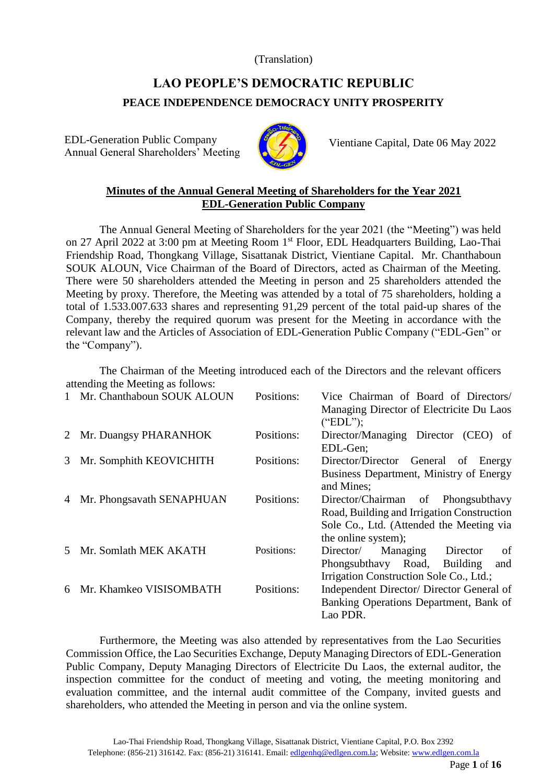#### (Translation)

# **LAO PEOPLE'S DEMOCRATIC REPUBLIC PEACE INDEPENDENCE DEMOCRACY UNITY PROSPERITY**

EDL-Generation Public Company Annual General Shareholders' Meeting



Vientiane Capital, Date 06 May 2022

## **Minutes of the Annual General Meeting of Shareholders for the Year 2021 EDL-Generation Public Company**

The Annual General Meeting of Shareholders for the year 2021 (the "Meeting") was held on 27 April 2022 at 3:00 pm at Meeting Room 1st Floor, EDL Headquarters Building, Lao-Thai Friendship Road, Thongkang Village, Sisattanak District, Vientiane Capital. Mr. Chanthaboun SOUK ALOUN, Vice Chairman of the Board of Directors, acted as Chairman of the Meeting. There were 50 shareholders attended the Meeting in person and 25 shareholders attended the Meeting by proxy. Therefore, the Meeting was attended by a total of 75 shareholders, holding a total of 1.533.007.633 shares and representing 91,29 percent of the total paid-up shares of the Company, thereby the required quorum was present for the Meeting in accordance with the relevant law and the Articles of Association of EDL-Generation Public Company ("EDL-Gen" or the "Company").

The Chairman of the Meeting introduced each of the Directors and the relevant officers attending the Meeting as follows:

|   | $\mu$ and $\mu$ and $\mu$ and $\mu$ and $\mu$ and $\mu$ and $\mu$ |            |                                                                                                                                                     |
|---|-------------------------------------------------------------------|------------|-----------------------------------------------------------------------------------------------------------------------------------------------------|
|   | 1 Mr. Chanthaboun SOUK ALOUN                                      | Positions: | Vice Chairman of Board of Directors/<br>Managing Director of Electricite Du Laos<br>("EDL");                                                        |
|   | 2 Mr. Duangsy PHARANHOK                                           | Positions: | Director/Managing Director (CEO) of<br>EDL-Gen:                                                                                                     |
| 3 | Mr. Somphith KEOVICHITH                                           | Positions: | Director/Director General of Energy<br>Business Department, Ministry of Energy<br>and Mines:                                                        |
| 4 | Mr. Phongsavath SENAPHUAN                                         | Positions: | Director/Chairman of Phongsubthavy<br>Road, Building and Irrigation Construction<br>Sole Co., Ltd. (Attended the Meeting via<br>the online system); |
| 5 | Mr. Somlath MEK AKATH                                             | Positions: | Director/ Managing<br>Director<br>of<br>Phongsubthavy Road,<br>Building<br>and<br>Irrigation Construction Sole Co., Ltd.;                           |
| 6 | Mr. Khamkeo VISISOMBATH                                           | Positions: | Independent Director/ Director General of<br>Banking Operations Department, Bank of<br>Lao PDR.                                                     |

Furthermore, the Meeting was also attended by representatives from the Lao Securities Commission Office, the Lao Securities Exchange, Deputy Managing Directors of EDL-Generation Public Company, Deputy Managing Directors of Electricite Du Laos, the external auditor, the inspection committee for the conduct of meeting and voting, the meeting monitoring and evaluation committee, and the internal audit committee of the Company, invited guests and shareholders, who attended the Meeting in person and via the online system.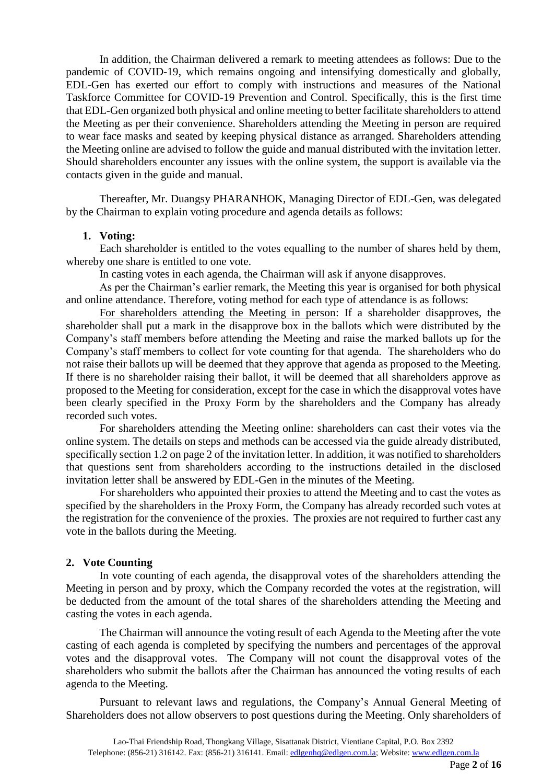In addition, the Chairman delivered a remark to meeting attendees as follows: Due to the pandemic of COVID-19, which remains ongoing and intensifying domestically and globally, EDL-Gen has exerted our effort to comply with instructions and measures of the National Taskforce Committee for COVID-19 Prevention and Control. Specifically, this is the first time that EDL-Gen organized both physical and online meeting to better facilitate shareholders to attend the Meeting as per their convenience. Shareholders attending the Meeting in person are required to wear face masks and seated by keeping physical distance as arranged. Shareholders attending the Meeting online are advised to follow the guide and manual distributed with the invitation letter. Should shareholders encounter any issues with the online system, the support is available via the contacts given in the guide and manual.

Thereafter, Mr. Duangsy PHARANHOK, Managing Director of EDL-Gen, was delegated by the Chairman to explain voting procedure and agenda details as follows:

#### **1. Voting:**

Each shareholder is entitled to the votes equalling to the number of shares held by them, whereby one share is entitled to one vote.

In casting votes in each agenda, the Chairman will ask if anyone disapproves.

As per the Chairman's earlier remark, the Meeting this year is organised for both physical and online attendance. Therefore, voting method for each type of attendance is as follows:

For shareholders attending the Meeting in person: If a shareholder disapproves, the shareholder shall put a mark in the disapprove box in the ballots which were distributed by the Company's staff members before attending the Meeting and raise the marked ballots up for the Company's staff members to collect for vote counting for that agenda. The shareholders who do not raise their ballots up will be deemed that they approve that agenda as proposed to the Meeting. If there is no shareholder raising their ballot, it will be deemed that all shareholders approve as proposed to the Meeting for consideration, except for the case in which the disapproval votes have been clearly specified in the Proxy Form by the shareholders and the Company has already recorded such votes.

For shareholders attending the Meeting online: shareholders can cast their votes via the online system. The details on steps and methods can be accessed via the guide already distributed, specifically section 1.2 on page 2 of the invitation letter. In addition, it was notified to shareholders that questions sent from shareholders according to the instructions detailed in the disclosed invitation letter shall be answered by EDL-Gen in the minutes of the Meeting.

For shareholders who appointed their proxies to attend the Meeting and to cast the votes as specified by the shareholders in the Proxy Form, the Company has already recorded such votes at the registration for the convenience of the proxies. The proxies are not required to further cast any vote in the ballots during the Meeting.

#### **2. Vote Counting**

In vote counting of each agenda, the disapproval votes of the shareholders attending the Meeting in person and by proxy, which the Company recorded the votes at the registration, will be deducted from the amount of the total shares of the shareholders attending the Meeting and casting the votes in each agenda.

The Chairman will announce the voting result of each Agenda to the Meeting after the vote casting of each agenda is completed by specifying the numbers and percentages of the approval votes and the disapproval votes. The Company will not count the disapproval votes of the shareholders who submit the ballots after the Chairman has announced the voting results of each agenda to the Meeting.

Pursuant to relevant laws and regulations, the Company's Annual General Meeting of Shareholders does not allow observers to post questions during the Meeting. Only shareholders of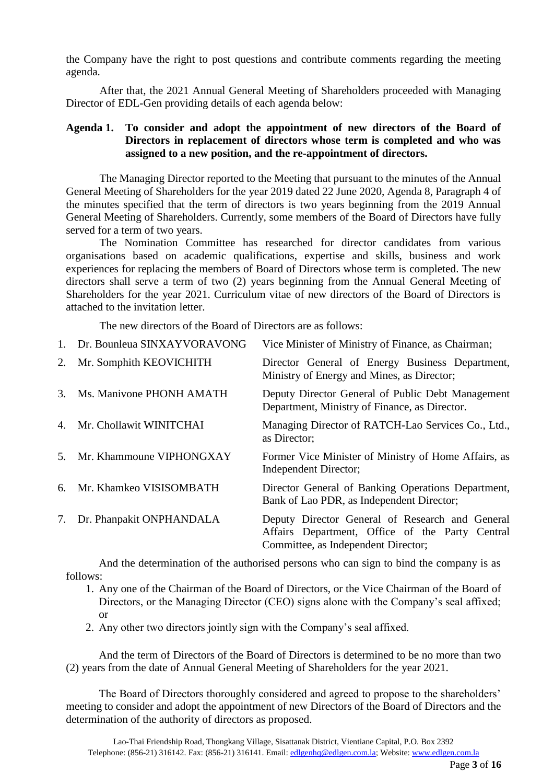the Company have the right to post questions and contribute comments regarding the meeting agenda.

After that, the 2021 Annual General Meeting of Shareholders proceeded with Managing Director of EDL-Gen providing details of each agenda below:

### **Agenda 1. To consider and adopt the appointment of new directors of the Board of Directors in replacement of directors whose term is completed and who was assigned to a new position, and the re-appointment of directors.**

The Managing Director reported to the Meeting that pursuant to the minutes of the Annual General Meeting of Shareholders for the year 2019 dated 22 June 2020, Agenda 8, Paragraph 4 of the minutes specified that the term of directors is two years beginning from the 2019 Annual General Meeting of Shareholders. Currently, some members of the Board of Directors have fully served for a term of two years.

The Nomination Committee has researched for director candidates from various organisations based on academic qualifications, expertise and skills, business and work experiences for replacing the members of Board of Directors whose term is completed. The new directors shall serve a term of two (2) years beginning from the Annual General Meeting of Shareholders for the year 2021. Curriculum vitae of new directors of the Board of Directors is attached to the invitation letter.

The new directors of the Board of Directors are as follows:

|    | Dr. Bounleua SINXAYVORAVONG | Vice Minister of Ministry of Finance, as Chairman;                                                                                        |
|----|-----------------------------|-------------------------------------------------------------------------------------------------------------------------------------------|
| 2. | Mr. Somphith KEOVICHITH     | Director General of Energy Business Department,<br>Ministry of Energy and Mines, as Director;                                             |
| 3. | Ms. Manivone PHONH AMATH    | Deputy Director General of Public Debt Management<br>Department, Ministry of Finance, as Director.                                        |
| 4. | Mr. Chollawit WINITCHAI     | Managing Director of RATCH-Lao Services Co., Ltd.,<br>as Director;                                                                        |
| 5. | Mr. Khammoune VIPHONGXAY    | Former Vice Minister of Ministry of Home Affairs, as<br>Independent Director;                                                             |
| 6. | Mr. Khamkeo VISISOMBATH     | Director General of Banking Operations Department,<br>Bank of Lao PDR, as Independent Director;                                           |
| 7. | Dr. Phanpakit ONPHANDALA    | Deputy Director General of Research and General<br>Affairs Department, Office of the Party Central<br>Committee, as Independent Director; |

And the determination of the authorised persons who can sign to bind the company is as follows:

- 1. Any one of the Chairman of the Board of Directors, or the Vice Chairman of the Board of Directors, or the Managing Director (CEO) signs alone with the Company's seal affixed; or
- 2. Any other two directors jointly sign with the Company's seal affixed.

And the term of Directors of the Board of Directors is determined to be no more than two (2) years from the date of Annual General Meeting of Shareholders for the year 2021.

The Board of Directors thoroughly considered and agreed to propose to the shareholders' meeting to consider and adopt the appointment of new Directors of the Board of Directors and the determination of the authority of directors as proposed.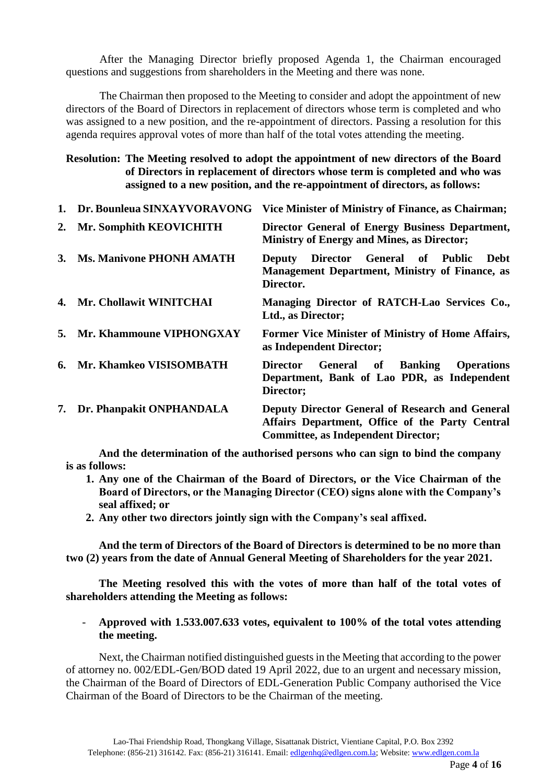After the Managing Director briefly proposed Agenda 1, the Chairman encouraged questions and suggestions from shareholders in the Meeting and there was none.

The Chairman then proposed to the Meeting to consider and adopt the appointment of new directors of the Board of Directors in replacement of directors whose term is completed and who was assigned to a new position, and the re-appointment of directors. Passing a resolution for this agenda requires approval votes of more than half of the total votes attending the meeting.

### **Resolution: The Meeting resolved to adopt the appointment of new directors of the Board of Directors in replacement of directors whose term is completed and who was assigned to a new position, and the re-appointment of directors, as follows:**

|    | 1. Dr. Bounleua SINXAYVORAVONG  | Vice Minister of Ministry of Finance, as Chairman;                                                                                               |
|----|---------------------------------|--------------------------------------------------------------------------------------------------------------------------------------------------|
|    | 2. Mr. Somphith KEOVICHITH      | Director General of Energy Business Department,<br><b>Ministry of Energy and Mines, as Director;</b>                                             |
| 3. | <b>Ms. Manivone PHONH AMATH</b> | Deputy Director General of Public<br>Debt<br><b>Management Department, Ministry of Finance, as</b><br>Director.                                  |
|    | 4. Mr. Chollawit WINITCHAI      | Managing Director of RATCH-Lao Services Co.,<br>Ltd., as Director;                                                                               |
|    | 5. Mr. Khammoune VIPHONGXAY     | Former Vice Minister of Ministry of Home Affairs,<br>as Independent Director;                                                                    |
|    | 6. Mr. Khamkeo VISISOMBATH      | <b>General of Banking Operations</b><br>Director<br>Department, Bank of Lao PDR, as Independent<br>Director;                                     |
|    | 7. Dr. Phanpakit ONPHANDALA     | Deputy Director General of Research and General<br>Affairs Department, Office of the Party Central<br><b>Committee, as Independent Director;</b> |

**And the determination of the authorised persons who can sign to bind the company is as follows:**

- **1. Any one of the Chairman of the Board of Directors, or the Vice Chairman of the Board of Directors, or the Managing Director (CEO) signs alone with the Company's seal affixed; or**
- **2. Any other two directors jointly sign with the Company's seal affixed.**

**And the term of Directors of the Board of Directors is determined to be no more than two (2) years from the date of Annual General Meeting of Shareholders for the year 2021.**

**The Meeting resolved this with the votes of more than half of the total votes of shareholders attending the Meeting as follows:**

#### - **Approved with 1.533.007.633 votes, equivalent to 100% of the total votes attending the meeting.**

Next, the Chairman notified distinguished guests in the Meeting that according to the power of attorney no. 002/EDL-Gen/BOD dated 19 April 2022, due to an urgent and necessary mission, the Chairman of the Board of Directors of EDL-Generation Public Company authorised the Vice Chairman of the Board of Directors to be the Chairman of the meeting.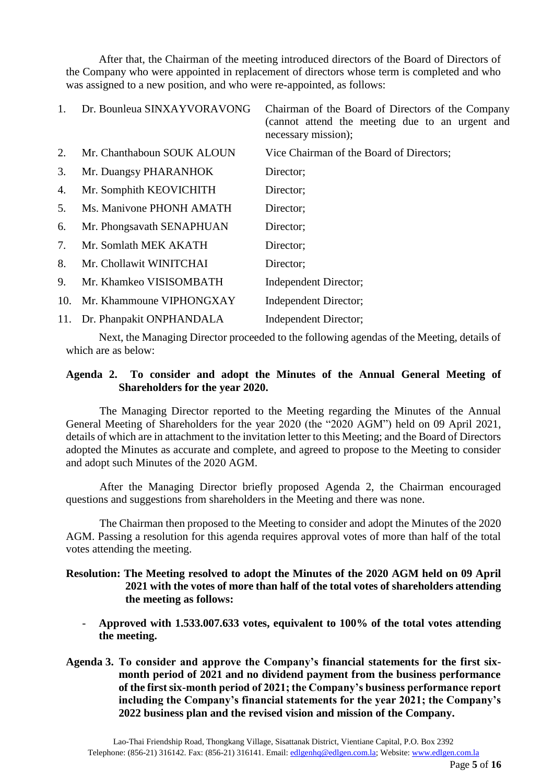After that, the Chairman of the meeting introduced directors of the Board of Directors of the Company who were appointed in replacement of directors whose term is completed and who was assigned to a new position, and who were re-appointed, as follows:

|     | Dr. Bounleua SINXAYVORAVONG  | Chairman of the Board of Directors of the Company<br>(cannot attend the meeting due to an urgent and<br>necessary mission); |
|-----|------------------------------|-----------------------------------------------------------------------------------------------------------------------------|
| 2.  | Mr. Chanthaboun SOUK ALOUN   | Vice Chairman of the Board of Directors;                                                                                    |
| 3.  | Mr. Duangsy PHARANHOK        | Director;                                                                                                                   |
| 4.  | Mr. Somphith KEOVICHITH      | Director;                                                                                                                   |
| 5.  | Ms. Manivone PHONH AMATH     | Director;                                                                                                                   |
| 6.  | Mr. Phongsavath SENAPHUAN    | Director;                                                                                                                   |
| 7.  | Mr. Somlath MEK AKATH        | Director;                                                                                                                   |
| 8.  | Mr. Chollawit WINITCHAI      | Director;                                                                                                                   |
| 9.  | Mr. Khamkeo VISISOMBATH      | Independent Director;                                                                                                       |
| 10. | Mr. Khammoune VIPHONGXAY     | Independent Director;                                                                                                       |
|     | 11. Dr. Phanpakit ONPHANDALA | Independent Director;                                                                                                       |

Next, the Managing Director proceeded to the following agendas of the Meeting, details of which are as below:

#### **Agenda 2. To consider and adopt the Minutes of the Annual General Meeting of Shareholders for the year 2020.**

The Managing Director reported to the Meeting regarding the Minutes of the Annual General Meeting of Shareholders for the year 2020 (the "2020 AGM") held on 09 April 2021, details of which are in attachment to the invitation letter to this Meeting; and the Board of Directors adopted the Minutes as accurate and complete, and agreed to propose to the Meeting to consider and adopt such Minutes of the 2020 AGM.

After the Managing Director briefly proposed Agenda 2, the Chairman encouraged questions and suggestions from shareholders in the Meeting and there was none.

The Chairman then proposed to the Meeting to consider and adopt the Minutes of the 2020 AGM. Passing a resolution for this agenda requires approval votes of more than half of the total votes attending the meeting.

#### **Resolution: The Meeting resolved to adopt the Minutes of the 2020 AGM held on 09 April 2021 with the votes of more than half of the total votes of shareholders attending the meeting as follows:**

- **Approved with 1.533.007.633 votes, equivalent to 100% of the total votes attending the meeting.**
- **Agenda 3. To consider and approve the Company's financial statements for the first sixmonth period of 2021 and no dividend payment from the business performance of the first six-month period of 2021; the Company's business performance report including the Company's financial statements for the year 2021; the Company's 2022 business plan and the revised vision and mission of the Company.**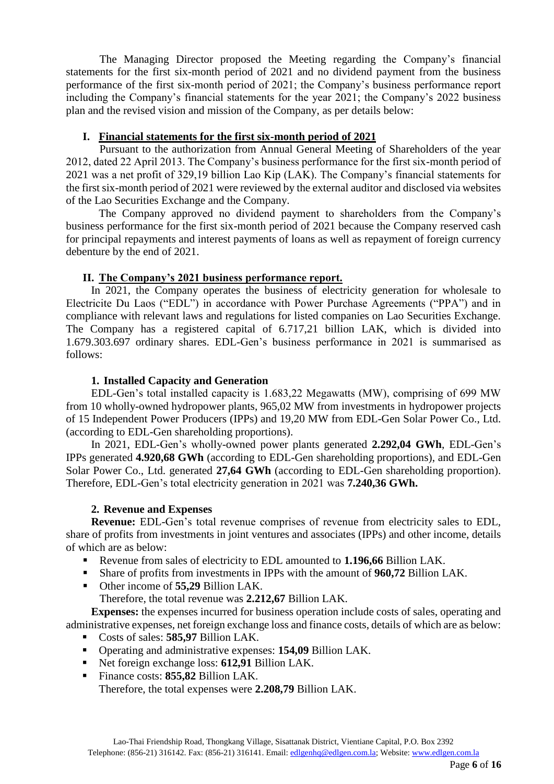The Managing Director proposed the Meeting regarding the Company's financial statements for the first six-month period of 2021 and no dividend payment from the business performance of the first six-month period of 2021; the Company's business performance report including the Company's financial statements for the year 2021; the Company's 2022 business plan and the revised vision and mission of the Company, as per details below:

### **I. Financial statements for the first six-month period of 2021**

Pursuant to the authorization from Annual General Meeting of Shareholders of the year 2012, dated 22 April 2013. The Company's business performance for the first six-month period of 2021 was a net profit of 329,19 billion Lao Kip (LAK). The Company's financial statements for the first six-month period of 2021 were reviewed by the external auditor and disclosed via websites of the Lao Securities Exchange and the Company.

The Company approved no dividend payment to shareholders from the Company's business performance for the first six-month period of 2021 because the Company reserved cash for principal repayments and interest payments of loans as well as repayment of foreign currency debenture by the end of 2021.

### **II. The Company's 2021 business performance report.**

In 2021, the Company operates the business of electricity generation for wholesale to Electricite Du Laos ("EDL") in accordance with Power Purchase Agreements ("PPA") and in compliance with relevant laws and regulations for listed companies on Lao Securities Exchange. The Company has a registered capital of 6.717,21 billion LAK, which is divided into 1.679.303.697 ordinary shares. EDL-Gen's business performance in 2021 is summarised as follows:

### **1. Installed Capacity and Generation**

EDL-Gen's total installed capacity is 1.683,22 Megawatts (MW), comprising of 699 MW from 10 wholly-owned hydropower plants, 965,02 MW from investments in hydropower projects of 15 Independent Power Producers (IPPs) and 19,20 MW from EDL-Gen Solar Power Co., Ltd. (according to EDL-Gen shareholding proportions).

In 2021, EDL-Gen's wholly-owned power plants generated **2.292,04 GWh**, EDL-Gen's IPPs generated **4.920,68 GWh** (according to EDL-Gen shareholding proportions), and EDL-Gen Solar Power Co., Ltd. generated **27,64 GWh** (according to EDL-Gen shareholding proportion). Therefore, EDL-Gen's total electricity generation in 2021 was **7.240,36 GWh.**

#### **2. Revenue and Expenses**

**Revenue:** EDL-Gen's total revenue comprises of revenue from electricity sales to EDL, share of profits from investments in joint ventures and associates (IPPs) and other income, details of which are as below:

- Revenue from sales of electricity to EDL amounted to **1.196,66** Billion LAK.
- Share of profits from investments in IPPs with the amount of **960,72** Billion LAK.
- Other income of **55,29** Billion LAK.

Therefore, the total revenue was **2.212,67** Billion LAK.

**Expenses:** the expenses incurred for business operation include costs of sales, operating and administrative expenses, net foreign exchange loss and finance costs, details of which are as below:

- Costs of sales: **585,97** Billion LAK.
- Operating and administrative expenses: **154,09** Billion LAK.
- Net foreign exchange loss: **612,91** Billion LAK.
- Finance costs: **855,82** Billion LAK. Therefore, the total expenses were **2.208,79** Billion LAK.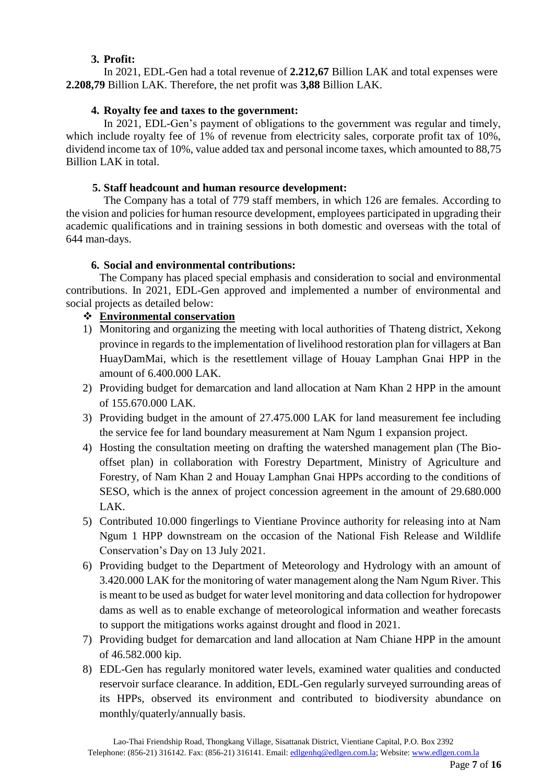## **3. Profit:**

In 2021, EDL-Gen had a total revenue of **2.212,67** Billion LAK and total expenses were **2.208,79** Billion LAK. Therefore, the net profit was **3,88** Billion LAK.

## **4. Royalty fee and taxes to the government:**

In 2021, EDL-Gen's payment of obligations to the government was regular and timely, which include royalty fee of 1% of revenue from electricity sales, corporate profit tax of 10%, dividend income tax of 10%, value added tax and personal income taxes, which amounted to 88,75 Billion LAK in total.

### **5. Staff headcount and human resource development:**

The Company has a total of 779 staff members, in which 126 are females. According to the vision and policies for human resource development, employees participated in upgrading their academic qualifications and in training sessions in both domestic and overseas with the total of 644 man-days.

## **6. Social and environmental contributions:**

The Company has placed special emphasis and consideration to social and environmental contributions. In 2021, EDL-Gen approved and implemented a number of environmental and social projects as detailed below:

## **Environmental conservation**

- 1) Monitoring and organizing the meeting with local authorities of Thateng district, Xekong province in regards to the implementation of livelihood restoration plan for villagers at Ban HuayDamMai, which is the resettlement village of Houay Lamphan Gnai HPP in the amount of 6.400.000 LAK.
- 2) Providing budget for demarcation and land allocation at Nam Khan 2 HPP in the amount of 155.670.000 LAK.
- 3) Providing budget in the amount of 27.475.000 LAK for land measurement fee including the service fee for land boundary measurement at Nam Ngum 1 expansion project.
- 4) Hosting the consultation meeting on drafting the watershed management plan (The Biooffset plan) in collaboration with Forestry Department, Ministry of Agriculture and Forestry, of Nam Khan 2 and Houay Lamphan Gnai HPPs according to the conditions of SESO, which is the annex of project concession agreement in the amount of 29.680.000 LAK.
- 5) Contributed 10.000 fingerlings to Vientiane Province authority for releasing into at Nam Ngum 1 HPP downstream on the occasion of the National Fish Release and Wildlife Conservation's Day on 13 July 2021.
- 6) Providing budget to the Department of Meteorology and Hydrology with an amount of 3.420.000 LAK for the monitoring of water management along the Nam Ngum River. This is meant to be used as budget for water level monitoring and data collection for hydropower dams as well as to enable exchange of meteorological information and weather forecasts to support the mitigations works against drought and flood in 2021.
- 7) Providing budget for demarcation and land allocation at Nam Chiane HPP in the amount of 46.582.000 kip.
- 8) EDL-Gen has regularly monitored water levels, examined water qualities and conducted reservoir surface clearance. In addition, EDL-Gen regularly surveyed surrounding areas of its HPPs, observed its environment and contributed to biodiversity abundance on monthly/quaterly/annually basis.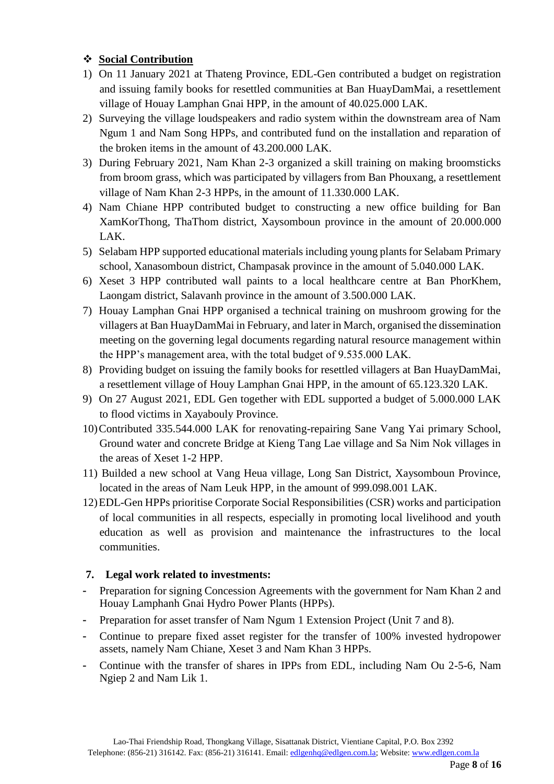## **Social Contribution**

- 1) On 11 January 2021 at Thateng Province, EDL-Gen contributed a budget on registration and issuing family books for resettled communities at Ban HuayDamMai, a resettlement village of Houay Lamphan Gnai HPP, in the amount of 40.025.000 LAK.
- 2) Surveying the village loudspeakers and radio system within the downstream area of Nam Ngum 1 and Nam Song HPPs, and contributed fund on the installation and reparation of the broken items in the amount of 43.200.000 LAK.
- 3) During February 2021, Nam Khan 2-3 organized a skill training on making broomsticks from broom grass, which was participated by villagers from Ban Phouxang, a resettlement village of Nam Khan 2-3 HPPs, in the amount of 11.330.000 LAK.
- 4) Nam Chiane HPP contributed budget to constructing a new office building for Ban XamKorThong, ThaThom district, Xaysomboun province in the amount of 20.000.000 LAK.
- 5) Selabam HPP supported educational materials including young plants for Selabam Primary school, Xanasomboun district, Champasak province in the amount of 5.040.000 LAK.
- 6) Xeset 3 HPP contributed wall paints to a local healthcare centre at Ban PhorKhem, Laongam district, Salavanh province in the amount of 3.500.000 LAK.
- 7) Houay Lamphan Gnai HPP organised a technical training on mushroom growing for the villagers at Ban HuayDamMai in February, and later in March, organised the dissemination meeting on the governing legal documents regarding natural resource management within the HPP's management area, with the total budget of 9.535.000 LAK.
- 8) Providing budget on issuing the family books for resettled villagers at Ban HuayDamMai, a resettlement village of Houy Lamphan Gnai HPP, in the amount of 65.123.320 LAK.
- 9) On 27 August 2021, EDL Gen together with EDL supported a budget of 5.000.000 LAK to flood victims in Xayabouly Province.
- 10)Contributed 335.544.000 LAK for renovating-repairing Sane Vang Yai primary School, Ground water and concrete Bridge at Kieng Tang Lae village and Sa Nim Nok villages in the areas of Xeset 1-2 HPP.
- 11) Builded a new school at Vang Heua village, Long San District, Xaysomboun Province, located in the areas of Nam Leuk HPP, in the amount of 999.098.001 LAK.
- 12)EDL-Gen HPPs prioritise Corporate Social Responsibilities (CSR) works and participation of local communities in all respects, especially in promoting local livelihood and youth education as well as provision and maintenance the infrastructures to the local communities.

## **7. Legal work related to investments:**

- Preparation for signing Concession Agreements with the government for Nam Khan 2 and Houay Lamphanh Gnai Hydro Power Plants (HPPs).
- Preparation for asset transfer of Nam Ngum 1 Extension Project (Unit 7 and 8).
- Continue to prepare fixed asset register for the transfer of 100% invested hydropower assets, namely Nam Chiane, Xeset 3 and Nam Khan 3 HPPs.
- Continue with the transfer of shares in IPPs from EDL, including Nam Ou 2-5-6, Nam Ngiep 2 and Nam Lik 1.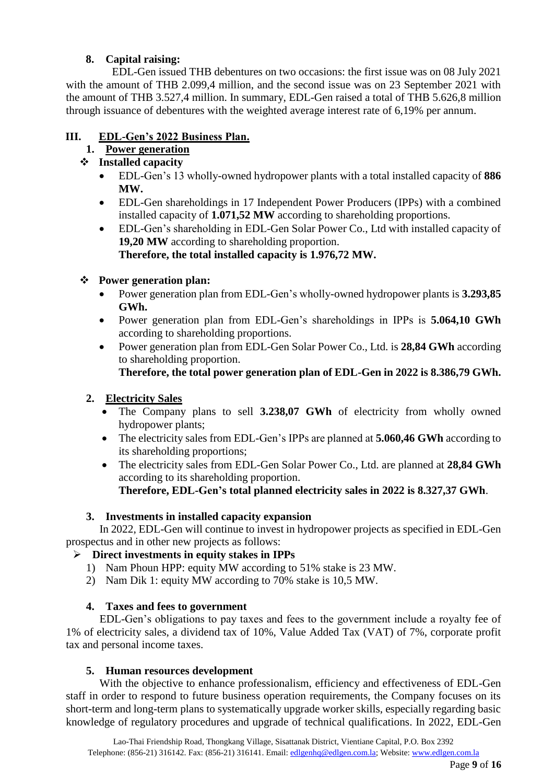## **8. Capital raising:**

EDL-Gen issued THB debentures on two occasions: the first issue was on 08 July 2021 with the amount of THB 2.099.4 million, and the second issue was on 23 September 2021 with the amount of THB 3.527,4 million. In summary, EDL-Gen raised a total of THB 5.626,8 million through issuance of debentures with the weighted average interest rate of 6,19% per annum.

## **III. EDL-Gen's 2022 Business Plan.**

## **1. Power generation**

## **Installed capacity**

- EDL-Gen's 13 wholly-owned hydropower plants with a total installed capacity of **886 MW.**
- EDL-Gen shareholdings in 17 Independent Power Producers (IPPs) with a combined installed capacity of **1.071,52 MW** according to shareholding proportions.
- EDL-Gen's shareholding in EDL-Gen Solar Power Co., Ltd with installed capacity of **19,20 MW** according to shareholding proportion. **Therefore, the total installed capacity is 1.976,72 MW.**

## **Power generation plan:**

- Power generation plan from EDL-Gen's wholly-owned hydropower plants is **3.293,85 GWh.**
- Power generation plan from EDL-Gen's shareholdings in IPPs is **5.064,10 GWh** according to shareholding proportions.
- Power generation plan from EDL-Gen Solar Power Co., Ltd. is **28,84 GWh** according to shareholding proportion.

## **Therefore, the total power generation plan of EDL-Gen in 2022 is 8.386,79 GWh.**

## **2. Electricity Sales**

- The Company plans to sell **3.238,07 GWh** of electricity from wholly owned hydropower plants;
- The electricity sales from EDL-Gen's IPPs are planned at **5.060,46 GWh** according to its shareholding proportions;
- The electricity sales from EDL-Gen Solar Power Co., Ltd. are planned at **28,84 GWh** according to its shareholding proportion. **Therefore, EDL-Gen's total planned electricity sales in 2022 is 8.327,37 GWh**.

## **3. Investments in installed capacity expansion**

In 2022, EDL-Gen will continue to invest in hydropower projects as specified in EDL-Gen prospectus and in other new projects as follows:

## **Direct investments in equity stakes in IPPs**

- 1) Nam Phoun HPP: equity MW according to 51% stake is 23 MW.
- 2) Nam Dik 1: equity MW according to 70% stake is 10,5 MW.

## **4. Taxes and fees to government**

EDL-Gen's obligations to pay taxes and fees to the government include a royalty fee of 1% of electricity sales, a dividend tax of 10%, Value Added Tax (VAT) of 7%, corporate profit tax and personal income taxes.

### **5. Human resources development**

With the objective to enhance professionalism, efficiency and effectiveness of EDL-Gen staff in order to respond to future business operation requirements, the Company focuses on its short-term and long-term plans to systematically upgrade worker skills, especially regarding basic knowledge of regulatory procedures and upgrade of technical qualifications. In 2022, EDL-Gen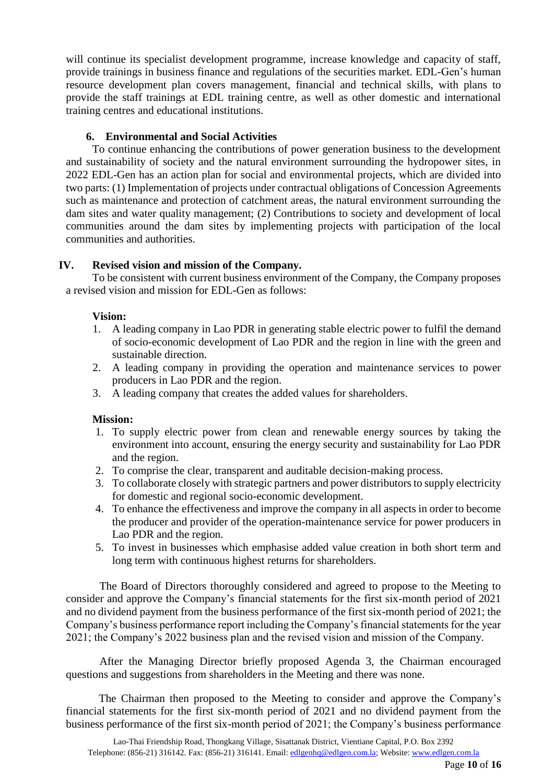will continue its specialist development programme, increase knowledge and capacity of staff, provide trainings in business finance and regulations of the securities market. EDL-Gen's human resource development plan covers management, financial and technical skills, with plans to provide the staff trainings at EDL training centre, as well as other domestic and international training centres and educational institutions.

### **6. Environmental and Social Activities**

To continue enhancing the contributions of power generation business to the development and sustainability of society and the natural environment surrounding the hydropower sites, in 2022 EDL-Gen has an action plan for social and environmental projects, which are divided into two parts: (1) Implementation of projects under contractual obligations of Concession Agreements such as maintenance and protection of catchment areas, the natural environment surrounding the dam sites and water quality management; (2) Contributions to society and development of local communities around the dam sites by implementing projects with participation of the local communities and authorities.

### **IV. Revised vision and mission of the Company.**

To be consistent with current business environment of the Company, the Company proposes a revised vision and mission for EDL-Gen as follows:

#### **Vision:**

- 1. A leading company in Lao PDR in generating stable electric power to fulfil the demand of socio-economic development of Lao PDR and the region in line with the green and sustainable direction.
- 2. A leading company in providing the operation and maintenance services to power producers in Lao PDR and the region.
- 3. A leading company that creates the added values for shareholders.

#### **Mission:**

- 1. To supply electric power from clean and renewable energy sources by taking the environment into account, ensuring the energy security and sustainability for Lao PDR and the region.
- 2. To comprise the clear, transparent and auditable decision-making process.
- 3. To collaborate closely with strategic partners and power distributors to supply electricity for domestic and regional socio-economic development.
- 4. To enhance the effectiveness and improve the company in all aspects in order to become the producer and provider of the operation-maintenance service for power producers in Lao PDR and the region.
- 5. To invest in businesses which emphasise added value creation in both short term and long term with continuous highest returns for shareholders.

The Board of Directors thoroughly considered and agreed to propose to the Meeting to consider and approve the Company's financial statements for the first six-month period of 2021 and no dividend payment from the business performance of the first six-month period of 2021; the Company's business performance report including the Company's financial statements for the year 2021; the Company's 2022 business plan and the revised vision and mission of the Company.

After the Managing Director briefly proposed Agenda 3, the Chairman encouraged questions and suggestions from shareholders in the Meeting and there was none.

The Chairman then proposed to the Meeting to consider and approve the Company's financial statements for the first six-month period of 2021 and no dividend payment from the business performance of the first six-month period of 2021; the Company's business performance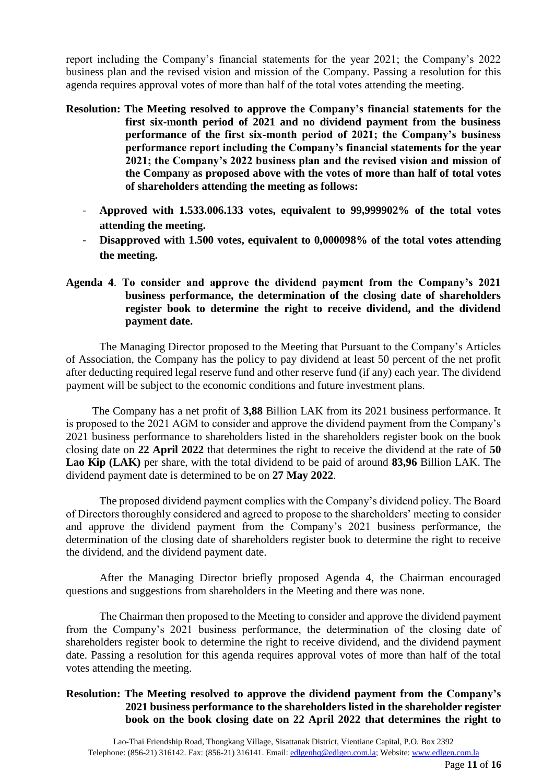report including the Company's financial statements for the year 2021; the Company's 2022 business plan and the revised vision and mission of the Company. Passing a resolution for this agenda requires approval votes of more than half of the total votes attending the meeting.

- **Resolution: The Meeting resolved to approve the Company's financial statements for the first six-month period of 2021 and no dividend payment from the business performance of the first six-month period of 2021; the Company's business performance report including the Company's financial statements for the year 2021; the Company's 2022 business plan and the revised vision and mission of the Company as proposed above with the votes of more than half of total votes of shareholders attending the meeting as follows:**
	- **Approved with 1.533.006.133 votes, equivalent to 99,999902% of the total votes attending the meeting.**
	- **Disapproved with 1.500 votes, equivalent to 0,000098% of the total votes attending the meeting.**
- **Agenda 4**. **To consider and approve the dividend payment from the Company's 2021 business performance, the determination of the closing date of shareholders register book to determine the right to receive dividend, and the dividend payment date.**

The Managing Director proposed to the Meeting that Pursuant to the Company's Articles of Association, the Company has the policy to pay dividend at least 50 percent of the net profit after deducting required legal reserve fund and other reserve fund (if any) each year. The dividend payment will be subject to the economic conditions and future investment plans.

The Company has a net profit of **3,88** Billion LAK from its 2021 business performance. It is proposed to the 2021 AGM to consider and approve the dividend payment from the Company's 2021 business performance to shareholders listed in the shareholders register book on the book closing date on **22 April 2022** that determines the right to receive the dividend at the rate of **50 Lao Kip (LAK)** per share, with the total dividend to be paid of around **83,96** Billion LAK. The dividend payment date is determined to be on **27 May 2022**.

The proposed dividend payment complies with the Company's dividend policy. The Board of Directors thoroughly considered and agreed to propose to the shareholders' meeting to consider and approve the dividend payment from the Company's 2021 business performance, the determination of the closing date of shareholders register book to determine the right to receive the dividend, and the dividend payment date.

After the Managing Director briefly proposed Agenda 4, the Chairman encouraged questions and suggestions from shareholders in the Meeting and there was none.

The Chairman then proposed to the Meeting to consider and approve the dividend payment from the Company's 2021 business performance, the determination of the closing date of shareholders register book to determine the right to receive dividend, and the dividend payment date. Passing a resolution for this agenda requires approval votes of more than half of the total votes attending the meeting.

### **Resolution: The Meeting resolved to approve the dividend payment from the Company's 2021 business performance to the shareholders listed in the shareholder register book on the book closing date on 22 April 2022 that determines the right to**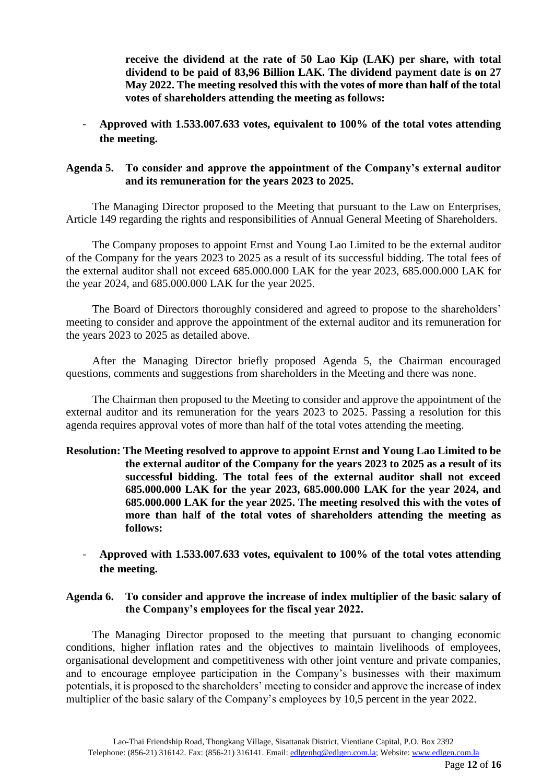**receive the dividend at the rate of 50 Lao Kip (LAK) per share, with total dividend to be paid of 83,96 Billion LAK. The dividend payment date is on 27 May 2022. The meeting resolved this with the votes of more than half of the total votes of shareholders attending the meeting as follows:**

- **Approved with 1.533.007.633 votes, equivalent to 100% of the total votes attending the meeting.**

### **Agenda 5. To consider and approve the appointment of the Company's external auditor and its remuneration for the years 2023 to 2025.**

The Managing Director proposed to the Meeting that pursuant to the Law on Enterprises, Article 149 regarding the rights and responsibilities of Annual General Meeting of Shareholders.

The Company proposes to appoint Ernst and Young Lao Limited to be the external auditor of the Company for the years 2023 to 2025 as a result of its successful bidding. The total fees of the external auditor shall not exceed 685.000.000 LAK for the year 2023, 685.000.000 LAK for the year 2024, and 685.000.000 LAK for the year 2025.

The Board of Directors thoroughly considered and agreed to propose to the shareholders' meeting to consider and approve the appointment of the external auditor and its remuneration for the years 2023 to 2025 as detailed above.

After the Managing Director briefly proposed Agenda 5, the Chairman encouraged questions, comments and suggestions from shareholders in the Meeting and there was none.

The Chairman then proposed to the Meeting to consider and approve the appointment of the external auditor and its remuneration for the years 2023 to 2025. Passing a resolution for this agenda requires approval votes of more than half of the total votes attending the meeting.

### **Resolution: The Meeting resolved to approve to appoint Ernst and Young Lao Limited to be the external auditor of the Company for the years 2023 to 2025 as a result of its successful bidding. The total fees of the external auditor shall not exceed 685.000.000 LAK for the year 2023, 685.000.000 LAK for the year 2024, and 685.000.000 LAK for the year 2025. The meeting resolved this with the votes of more than half of the total votes of shareholders attending the meeting as follows:**

- **Approved with 1.533.007.633 votes, equivalent to 100% of the total votes attending the meeting.**

### **Agenda 6. To consider and approve the increase of index multiplier of the basic salary of the Company's employees for the fiscal year 2022.**

The Managing Director proposed to the meeting that pursuant to changing economic conditions, higher inflation rates and the objectives to maintain livelihoods of employees, organisational development and competitiveness with other joint venture and private companies, and to encourage employee participation in the Company's businesses with their maximum potentials, it is proposed to the shareholders' meeting to consider and approve the increase of index multiplier of the basic salary of the Company's employees by 10,5 percent in the year 2022.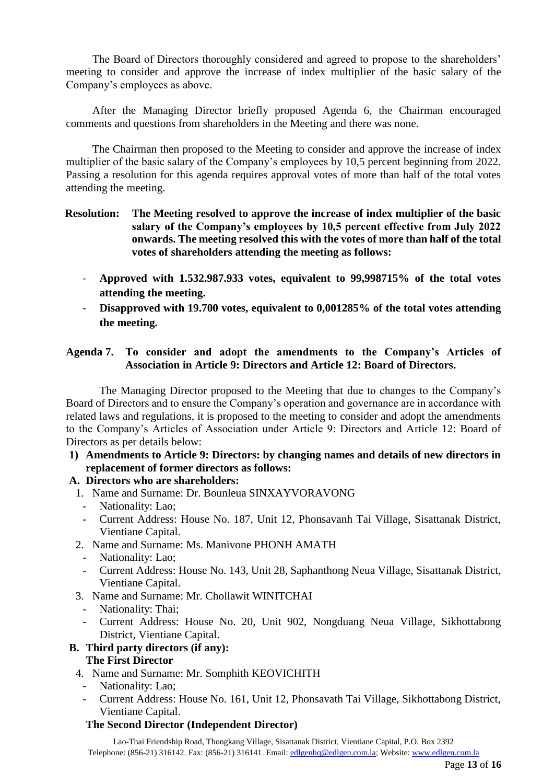The Board of Directors thoroughly considered and agreed to propose to the shareholders' meeting to consider and approve the increase of index multiplier of the basic salary of the Company's employees as above.

After the Managing Director briefly proposed Agenda 6, the Chairman encouraged comments and questions from shareholders in the Meeting and there was none.

The Chairman then proposed to the Meeting to consider and approve the increase of index multiplier of the basic salary of the Company's employees by 10,5 percent beginning from 2022. Passing a resolution for this agenda requires approval votes of more than half of the total votes attending the meeting.

### **Resolution: The Meeting resolved to approve the increase of index multiplier of the basic salary of the Company's employees by 10,5 percent effective from July 2022 onwards. The meeting resolved this with the votes of more than half of the total votes of shareholders attending the meeting as follows:**

- **Approved with 1.532.987.933 votes, equivalent to 99,998715% of the total votes attending the meeting.**
- **Disapproved with 19.700 votes, equivalent to 0,001285% of the total votes attending the meeting.**

### **Agenda 7. To consider and adopt the amendments to the Company's Articles of Association in Article 9: Directors and Article 12: Board of Directors.**

The Managing Director proposed to the Meeting that due to changes to the Company's Board of Directors and to ensure the Company's operation and governance are in accordance with related laws and regulations, it is proposed to the meeting to consider and adopt the amendments to the Company's Articles of Association under Article 9: Directors and Article 12: Board of Directors as per details below:

**1) Amendments to Article 9: Directors: by changing names and details of new directors in replacement of former directors as follows:**

### **A. Directors who are shareholders:**

- 1. Name and Surname: Dr. Bounleua SINXAYVORAVONG
	- Nationality: Lao;
	- Current Address: House No. 187, Unit 12, Phonsavanh Tai Village, Sisattanak District, Vientiane Capital.
- 2. Name and Surname: Ms. Manivone PHONH AMATH
	- Nationality: Lao;
	- Current Address: House No. 143, Unit 28, Saphanthong Neua Village, Sisattanak District, Vientiane Capital.
- 3. Name and Surname: Mr. Chollawit WINITCHAI
	- Nationality: Thai;<br>- Current Address:
	- Current Address: House No. 20, Unit 902, Nongduang Neua Village, Sikhottabong District, Vientiane Capital.

# **B. Third party directors (if any):**

## **The First Director**

- 4. Name and Surname: Mr. Somphith KEOVICHITH
	- Nationality: Lao;
	- Current Address: House No. 161, Unit 12, Phonsavath Tai Village, Sikhottabong District, Vientiane Capital.

### **The Second Director (Independent Director)**

Lao-Thai Friendship Road, Thongkang Village, Sisattanak District, Vientiane Capital, P.O. Box 2392 Telephone: (856-21) 316142. Fax: (856-21) 316141. Email: [edlgenhq@edlgen.com.la;](mailto:edlgenhq@edlgen.com.la) Website: [www.edlgen.com.la](http://www.edlgen.com.la/)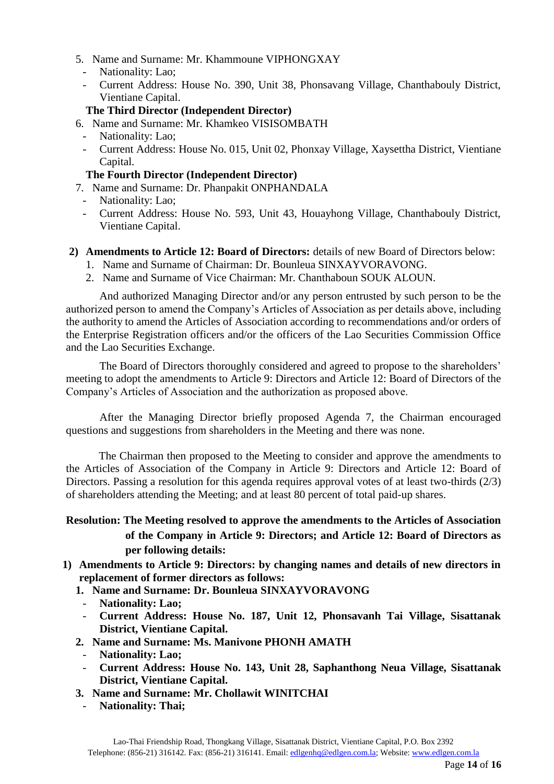- 5. Name and Surname: Mr. Khammoune VIPHONGXAY
- Nationality: Lao;
- Current Address: House No. 390, Unit 38, Phonsavang Village, Chanthabouly District, Vientiane Capital.
- **The Third Director (Independent Director)**
- 6. Name and Surname: Mr. Khamkeo VISISOMBATH
	- Nationality: Lao;
	- Current Address: House No. 015, Unit 02, Phonxay Village, Xaysettha District, Vientiane Capital.
	- **The Fourth Director (Independent Director)**
- 7. Name and Surname: Dr. Phanpakit ONPHANDALA
	- Nationality: Lao;
	- Current Address: House No. 593, Unit 43, Houayhong Village, Chanthabouly District, Vientiane Capital.
- **2) Amendments to Article 12: Board of Directors:** details of new Board of Directors below:
	- 1. Name and Surname of Chairman: Dr. Bounleua SINXAYVORAVONG.
	- 2. Name and Surname of Vice Chairman: Mr. Chanthaboun SOUK ALOUN.

And authorized Managing Director and/or any person entrusted by such person to be the authorized person to amend the Company's Articles of Association as per details above, including the authority to amend the Articles of Association according to recommendations and/or orders of the Enterprise Registration officers and/or the officers of the Lao Securities Commission Office and the Lao Securities Exchange.

The Board of Directors thoroughly considered and agreed to propose to the shareholders' meeting to adopt the amendments to Article 9: Directors and Article 12: Board of Directors of the Company's Articles of Association and the authorization as proposed above.

After the Managing Director briefly proposed Agenda 7, the Chairman encouraged questions and suggestions from shareholders in the Meeting and there was none.

The Chairman then proposed to the Meeting to consider and approve the amendments to the Articles of Association of the Company in Article 9: Directors and Article 12: Board of Directors. Passing a resolution for this agenda requires approval votes of at least two-thirds (2/3) of shareholders attending the Meeting; and at least 80 percent of total paid-up shares.

## **Resolution: The Meeting resolved to approve the amendments to the Articles of Association of the Company in Article 9: Directors; and Article 12: Board of Directors as per following details:**

- **1) Amendments to Article 9: Directors: by changing names and details of new directors in replacement of former directors as follows:**
	- **1. Name and Surname: Dr. Bounleua SINXAYVORAVONG**
	- **Nationality: Lao;**
	- **Current Address: House No. 187, Unit 12, Phonsavanh Tai Village, Sisattanak District, Vientiane Capital.**
	- **2. Name and Surname: Ms. Manivone PHONH AMATH**
		- **Nationality: Lao;**
		- **Current Address: House No. 143, Unit 28, Saphanthong Neua Village, Sisattanak District, Vientiane Capital.**
	- **3. Name and Surname: Mr. Chollawit WINITCHAI**
	- **Nationality: Thai;**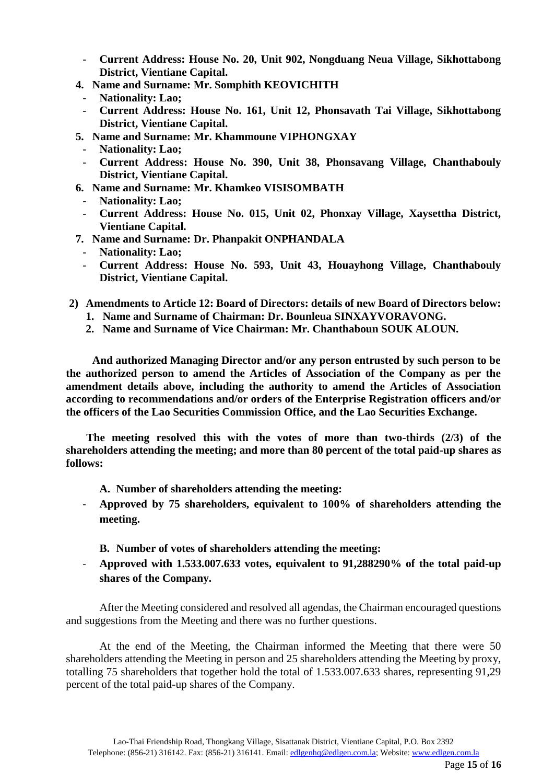- **Current Address: House No. 20, Unit 902, Nongduang Neua Village, Sikhottabong District, Vientiane Capital.**
- **4. Name and Surname: Mr. Somphith KEOVICHITH**
	- **Nationality: Lao;**
	- **Current Address: House No. 161, Unit 12, Phonsavath Tai Village, Sikhottabong District, Vientiane Capital.**
- **5. Name and Surname: Mr. Khammoune VIPHONGXAY**
	- **Nationality: Lao;**
	- **Current Address: House No. 390, Unit 38, Phonsavang Village, Chanthabouly District, Vientiane Capital.**
- **6. Name and Surname: Mr. Khamkeo VISISOMBATH**
	- **Nationality: Lao;**
	- **Current Address: House No. 015, Unit 02, Phonxay Village, Xaysettha District, Vientiane Capital.**
- **7. Name and Surname: Dr. Phanpakit ONPHANDALA**
	- **Nationality: Lao;**
	- **Current Address: House No. 593, Unit 43, Houayhong Village, Chanthabouly District, Vientiane Capital.**
- **2) Amendments to Article 12: Board of Directors: details of new Board of Directors below: 1. Name and Surname of Chairman: Dr. Bounleua SINXAYVORAVONG.**
	- **2. Name and Surname of Vice Chairman: Mr. Chanthaboun SOUK ALOUN.**

**And authorized Managing Director and/or any person entrusted by such person to be the authorized person to amend the Articles of Association of the Company as per the amendment details above, including the authority to amend the Articles of Association according to recommendations and/or orders of the Enterprise Registration officers and/or the officers of the Lao Securities Commission Office, and the Lao Securities Exchange.**

**The meeting resolved this with the votes of more than two-thirds (2/3) of the shareholders attending the meeting; and more than 80 percent of the total paid-up shares as follows:**

- **A. Number of shareholders attending the meeting:**
- **Approved by 75 shareholders, equivalent to 100% of shareholders attending the meeting.**
	- **B. Number of votes of shareholders attending the meeting:**
- **Approved with 1.533.007.633 votes, equivalent to 91,288290% of the total paid-up shares of the Company.**

After the Meeting considered and resolved all agendas, the Chairman encouraged questions and suggestions from the Meeting and there was no further questions.

At the end of the Meeting, the Chairman informed the Meeting that there were 50 shareholders attending the Meeting in person and 25 shareholders attending the Meeting by proxy, totalling 75 shareholders that together hold the total of 1.533.007.633 shares, representing 91,29 percent of the total paid-up shares of the Company.